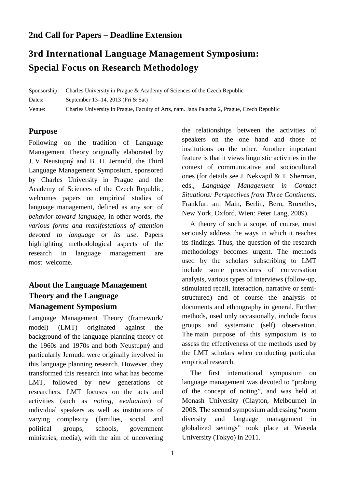# **2nd Call for Papers – Deadline Extension**

# **3rd International Language Management Symposium: Special Focus on Research Methodology**

Sponsorship: Charles University in Prague & Academy of Sciences of the Czech Republic Dates: September 13–14, 2013 (Fri & Sat) Venue: Charles University in Prague, Faculty of Arts, nám. Jana Palacha 2, Prague, Czech Republic

# **Purpose**

Following on the tradition of Language Management Theory originally elaborated by J. V. Neustupný and B. H. Jernudd, the Third Language Management Symposium, sponsored by Charles University in Prague and the Academy of Sciences of the Czech Republic, welcomes papers on empirical studies of language management, defined as any sort of *behavior toward language*, in other words, *the various forms and manifestations of attention devoted to language or its use*. Papers highlighting methodological aspects of the research in language management are most welcome.

# **About the Language Management Theory and the Language Management Symposium**

Language Management Theory (framework/ model) (LMT) originated against the background of the language planning theory of the 1960s and 1970s and both Neustupný and particularly Jernudd were originally involved in this language planning research. However, they transformed this research into what has become LMT, followed by new generations of researchers. LMT focuses on the acts and activities (such as *noting*, *evaluation*) of individual speakers as well as institutions of varying complexity (families, social and political groups, schools, government ministries, media), with the aim of uncovering

the relationships between the activities of speakers on the one hand and those of institutions on the other. Another important feature is that it views linguistic activities in the context of communicative and sociocultural ones (for details see J. Nekvapil & T. Sherman, eds., *Language Management in Contact Situations: Perspectives from Three Continents*. Frankfurt am Main, Berlin, Bern, Bruxelles, New York, Oxford, Wien: Peter Lang, 2009).

A theory of such a scope, of course, must seriously address the ways in which it reaches its findings. Thus, the question of the research methodology becomes urgent. The methods used by the scholars subscribing to LMT include some procedures of conversation analysis, various types of interviews (follow-up, stimulated recall, interaction, narrative or semistructured) and of course the analysis of documents and ethnography in general. Further methods, used only occasionally, include focus groups and systematic (self) observation. The main purpose of this symposium is to assess the effectiveness of the methods used by the LMT scholars when conducting particular empirical research.

The first international symposium on language management was devoted to "probing of the concept of noting", and was held at Monash University (Clayton, Melbourne) in 2008. The second symposium addressing "norm diversity and language management in globalized settings" took place at Waseda University (Tokyo) in 2011.